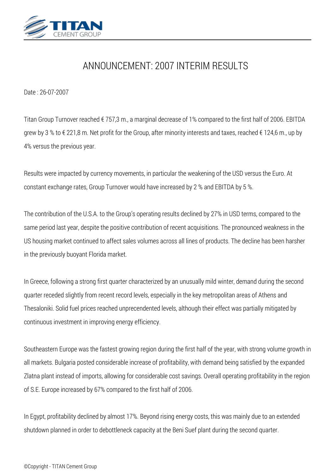

## *ANNOUNCEMENT: 2007 INTERIM RESULTS*

*Date : 26-07-2007*

*Titan Group Turnover reached € 757,3 m., a marginal decrease of 1% compared to the first half of 2006. EBITDA grew by 3 % to € 221,8 m. Net profit for the Group, after minority interests and taxes, reached € 124,6 m., up by 4% versus the previous year.*

*Results were impacted by currency movements, in particular the weakening of the USD versus the Euro. At constant exchange rates, Group Turnover would have increased by 2 % and EBITDA by 5 %.*

*The contribution of the U.S.A. to the Group's operating results declined by 27% in USD terms, compared to the same period last year, despite the positive contribution of recent acquisitions. The pronounced weakness in the US housing market continued to affect sales volumes across all lines of products. The decline has been harsher in the previously buoyant Florida market.*

*In Greece, following a strong first quarter characterized by an unusually mild winter, demand during the second quarter receded slightly from recent record levels, especially in the key metropolitan areas of Athens and Thesaloniki. Solid fuel prices reached unprecendented levels, although their effect was partially mitigated by continuous investment in improving energy efficiency.*

*Southeastern Europe was the fastest growing region during the first half of the year, with strong volume growth in all markets. Bulgaria posted considerable increase of profitability, with demand being satisfied by the expanded Zlatna plant instead of imports, allowing for considerable cost savings. Overall operating profitability in the region of S.E. Europe increased by 67% compared to the first half of 2006.*

*In Egypt, profitability declined by almost 17%. Beyond rising energy costs, this was mainly due to an extended shutdown planned in order to debottleneck capacity at the Beni Suef plant during the second quarter.*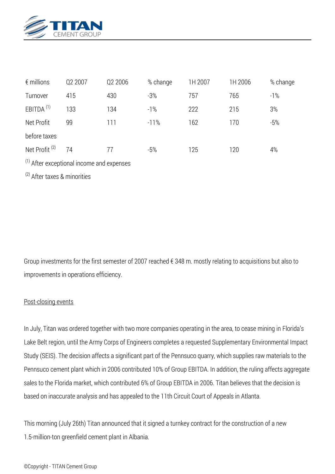

| $\epsilon$ millions                         | Q2 2007 | Q2 2006 | % change | 1H 2007 | 1H 2006 | % change |
|---------------------------------------------|---------|---------|----------|---------|---------|----------|
| Turnover                                    | 415     | 430     | $-3%$    | 757     | 765     | $-1\%$   |
| EBITDA <sup>(1)</sup>                       | 133     | 134     | $-1\%$   | 222     | 215     | 3%       |
| Net Profit                                  | 99      | 111     | $-11%$   | 162     | 170     | $-5%$    |
| before taxes                                |         |         |          |         |         |          |
| Net Profit <sup>(2)</sup>                   | 74      | 77      | $-5%$    | 125     | 120     | 4%       |
| $(1)$ After exceptional income and expenses |         |         |          |         |         |          |

*(2) After taxes & minorities*

*Group investments for the first semester of 2007 reached € 348 m. mostly relating to acquisitions but also to improvements in operations efficiency.*

## *Post-closing events*

*In July, Titan was ordered together with two more companies operating in the area, to cease mining in Florida's Lake Belt region, until the Army Corps of Engineers completes a requested Supplementary Environmental Impact Study (SEIS). The decision affects a significant part of the Pennsuco quarry, which supplies raw materials to the Pennsuco cement plant which in 2006 contributed 10% of Group EBITDA. In addition, the ruling affects aggregate sales to the Florida market, which contributed 6% of Group EBITDA in 2006. Titan believes that the decision is based on inaccurate analysis and has appealed to the 11th Circuit Court of Appeals in Atlanta.*

*This morning (July 26th) Titan announced that it signed a turnkey contract for the construction of a new 1.5-million-ton greenfield cement plant in Albania.*